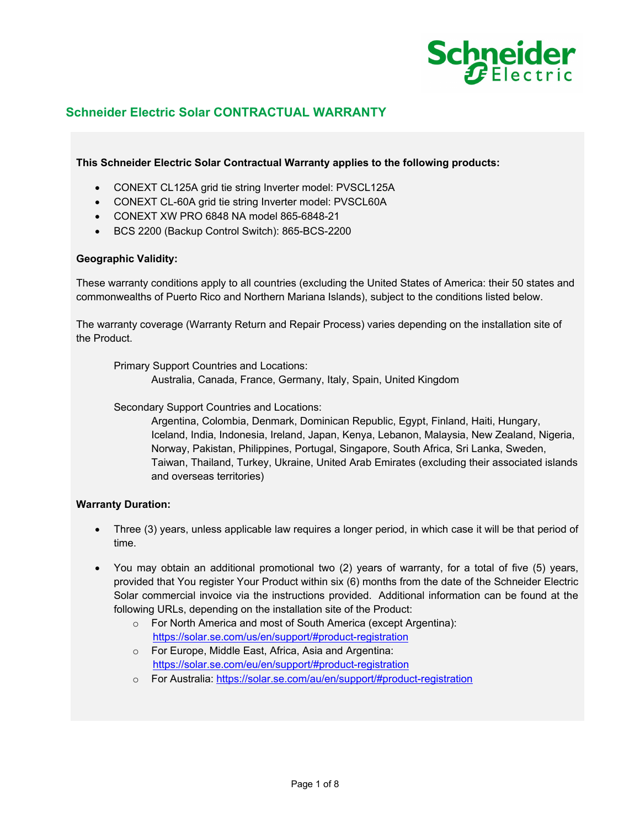

# **Schneider Electric Solar CONTRACTUAL WARRANTY**

**This Schneider Electric Solar Contractual Warranty applies to the following products:** 

- CONEXT CL125A grid tie string Inverter model: PVSCL125A
- CONEXT CL-60A grid tie string Inverter model: PVSCL60A
- CONEXT XW PRO 6848 NA model 865-6848-21
- BCS 2200 (Backup Control Switch): 865-BCS-2200

### **Geographic Validity:**

These warranty conditions apply to all countries (excluding the United States of America: their 50 states and commonwealths of Puerto Rico and Northern Mariana Islands), subject to the conditions listed below.

The warranty coverage (Warranty Return and Repair Process) varies depending on the installation site of the Product.

Primary Support Countries and Locations:

Australia, Canada, France, Germany, Italy, Spain, United Kingdom

Secondary Support Countries and Locations:

Argentina, Colombia, Denmark, Dominican Republic, Egypt, Finland, Haiti, Hungary, Iceland, India, Indonesia, Ireland, Japan, Kenya, Lebanon, Malaysia, New Zealand, Nigeria, Norway, Pakistan, Philippines, Portugal, Singapore, South Africa, Sri Lanka, Sweden, Taiwan, Thailand, Turkey, Ukraine, United Arab Emirates (excluding their associated islands and overseas territories)

## **Warranty Duration:**

- Three (3) years, unless applicable law requires a longer period, in which case it will be that period of time.
- You may obtain an additional promotional two (2) years of warranty, for a total of five (5) years, provided that You register Your Product within six (6) months from the date of the Schneider Electric Solar commercial invoice via the instructions provided. Additional information can be found at the following URLs, depending on the installation site of the Product:
	- o For North America and most of South America (except Argentina): https://solar.se.com/us/en/support/#product-registration
	- o For Europe, Middle East, Africa, Asia and Argentina: https://solar.se.com/eu/en/support/#product-registration
	- o For Australia: https://solar.se.com/au/en/support/#product-registration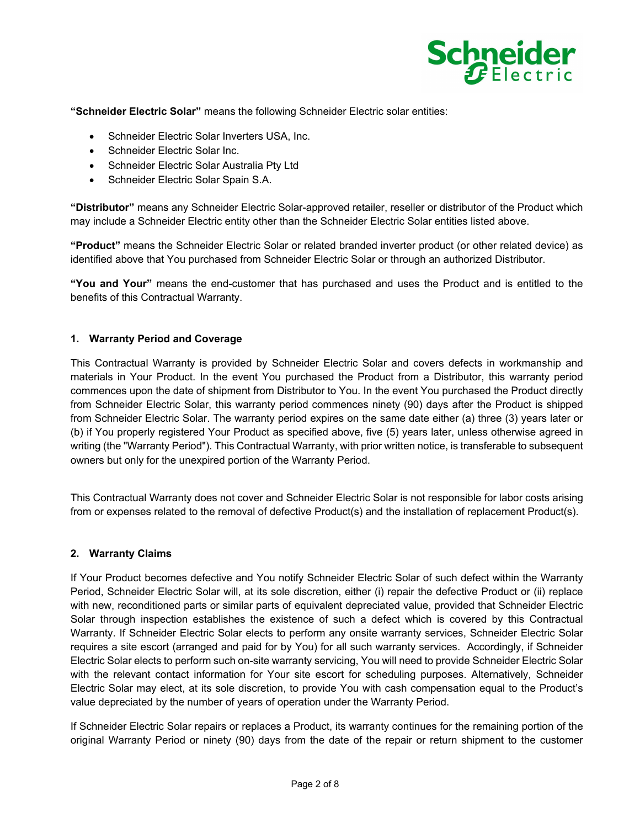

**"Schneider Electric Solar"** means the following Schneider Electric solar entities:

- Schneider Electric Solar Inverters USA, Inc.
- Schneider Electric Solar Inc.
- Schneider Electric Solar Australia Pty Ltd
- Schneider Electric Solar Spain S.A.

**"Distributor"** means any Schneider Electric Solar-approved retailer, reseller or distributor of the Product which may include a Schneider Electric entity other than the Schneider Electric Solar entities listed above.

**"Product"** means the Schneider Electric Solar or related branded inverter product (or other related device) as identified above that You purchased from Schneider Electric Solar or through an authorized Distributor.

**"You and Your"** means the end-customer that has purchased and uses the Product and is entitled to the benefits of this Contractual Warranty.

## **1. Warranty Period and Coverage**

This Contractual Warranty is provided by Schneider Electric Solar and covers defects in workmanship and materials in Your Product. In the event You purchased the Product from a Distributor, this warranty period commences upon the date of shipment from Distributor to You. In the event You purchased the Product directly from Schneider Electric Solar, this warranty period commences ninety (90) days after the Product is shipped from Schneider Electric Solar. The warranty period expires on the same date either (a) three (3) years later or (b) if You properly registered Your Product as specified above, five (5) years later, unless otherwise agreed in writing (the "Warranty Period"). This Contractual Warranty, with prior written notice, is transferable to subsequent owners but only for the unexpired portion of the Warranty Period.

This Contractual Warranty does not cover and Schneider Electric Solar is not responsible for labor costs arising from or expenses related to the removal of defective Product(s) and the installation of replacement Product(s).

## **2. Warranty Claims**

If Your Product becomes defective and You notify Schneider Electric Solar of such defect within the Warranty Period, Schneider Electric Solar will, at its sole discretion, either (i) repair the defective Product or (ii) replace with new, reconditioned parts or similar parts of equivalent depreciated value, provided that Schneider Electric Solar through inspection establishes the existence of such a defect which is covered by this Contractual Warranty. If Schneider Electric Solar elects to perform any onsite warranty services, Schneider Electric Solar requires a site escort (arranged and paid for by You) for all such warranty services. Accordingly, if Schneider Electric Solar elects to perform such on-site warranty servicing, You will need to provide Schneider Electric Solar with the relevant contact information for Your site escort for scheduling purposes. Alternatively, Schneider Electric Solar may elect, at its sole discretion, to provide You with cash compensation equal to the Product's value depreciated by the number of years of operation under the Warranty Period.

If Schneider Electric Solar repairs or replaces a Product, its warranty continues for the remaining portion of the original Warranty Period or ninety (90) days from the date of the repair or return shipment to the customer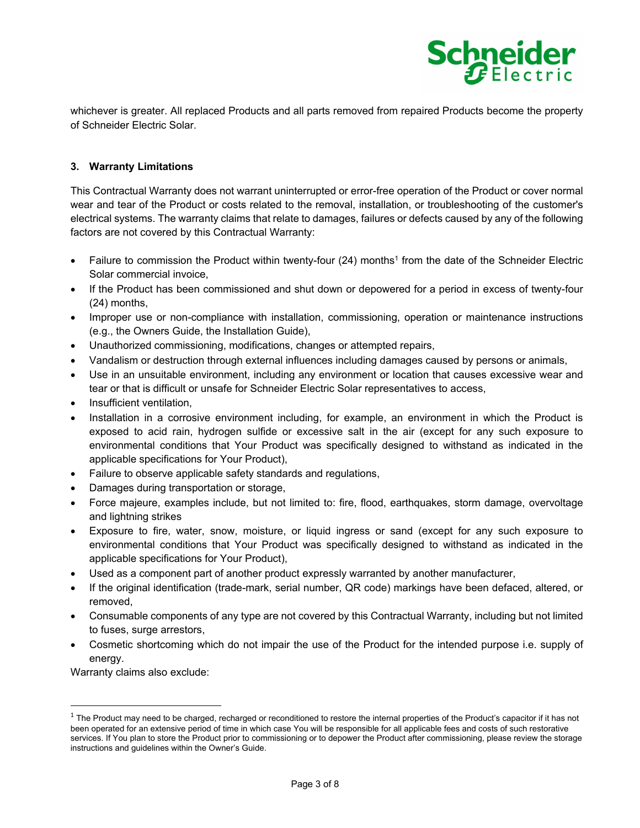

whichever is greater. All replaced Products and all parts removed from repaired Products become the property of Schneider Electric Solar.

## **3. Warranty Limitations**

This Contractual Warranty does not warrant uninterrupted or error-free operation of the Product or cover normal wear and tear of the Product or costs related to the removal, installation, or troubleshooting of the customer's electrical systems. The warranty claims that relate to damages, failures or defects caused by any of the following factors are not covered by this Contractual Warranty:

- **Failure to commission the Product within twenty-four (24) months<sup>1</sup> from the date of the Schneider Electric** Solar commercial invoice,
- If the Product has been commissioned and shut down or depowered for a period in excess of twenty-four (24) months,
- Improper use or non-compliance with installation, commissioning, operation or maintenance instructions (e.g., the Owners Guide, the Installation Guide),
- Unauthorized commissioning, modifications, changes or attempted repairs,
- Vandalism or destruction through external influences including damages caused by persons or animals,
- Use in an unsuitable environment, including any environment or location that causes excessive wear and tear or that is difficult or unsafe for Schneider Electric Solar representatives to access,
- Insufficient ventilation,
- Installation in a corrosive environment including, for example, an environment in which the Product is exposed to acid rain, hydrogen sulfide or excessive salt in the air (except for any such exposure to environmental conditions that Your Product was specifically designed to withstand as indicated in the applicable specifications for Your Product),
- Failure to observe applicable safety standards and regulations,
- Damages during transportation or storage,
- Force majeure, examples include, but not limited to: fire, flood, earthquakes, storm damage, overvoltage and lightning strikes
- Exposure to fire, water, snow, moisture, or liquid ingress or sand (except for any such exposure to environmental conditions that Your Product was specifically designed to withstand as indicated in the applicable specifications for Your Product),
- Used as a component part of another product expressly warranted by another manufacturer,
- If the original identification (trade-mark, serial number, QR code) markings have been defaced, altered, or removed,
- Consumable components of any type are not covered by this Contractual Warranty, including but not limited to fuses, surge arrestors,
- Cosmetic shortcoming which do not impair the use of the Product for the intended purpose i.e. supply of energy.

Warranty claims also exclude:

 $1$  The Product may need to be charged, recharged or reconditioned to restore the internal properties of the Product's capacitor if it has not been operated for an extensive period of time in which case You will be responsible for all applicable fees and costs of such restorative services. If You plan to store the Product prior to commissioning or to depower the Product after commissioning, please review the storage instructions and guidelines within the Owner's Guide.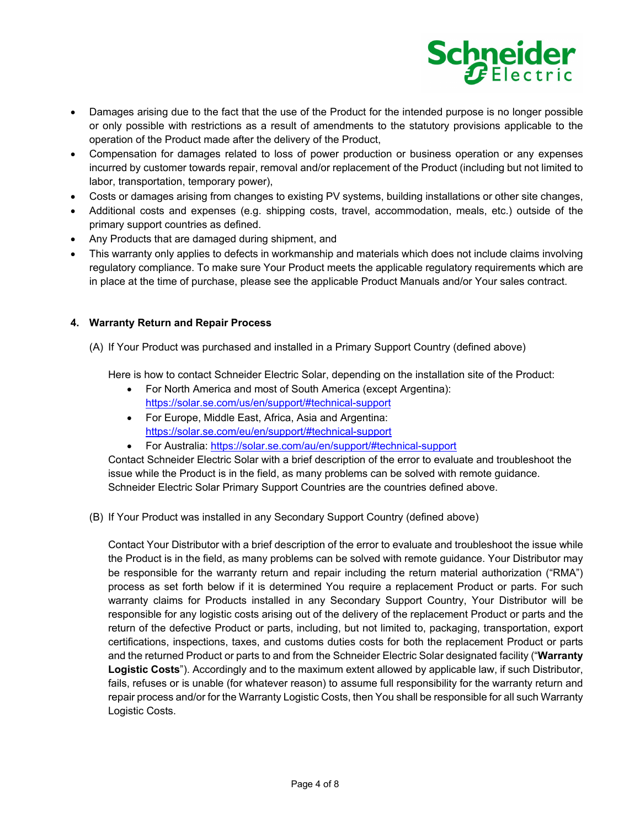

- Damages arising due to the fact that the use of the Product for the intended purpose is no longer possible or only possible with restrictions as a result of amendments to the statutory provisions applicable to the operation of the Product made after the delivery of the Product,
- Compensation for damages related to loss of power production or business operation or any expenses incurred by customer towards repair, removal and/or replacement of the Product (including but not limited to labor, transportation, temporary power),
- Costs or damages arising from changes to existing PV systems, building installations or other site changes,
- Additional costs and expenses (e.g. shipping costs, travel, accommodation, meals, etc.) outside of the primary support countries as defined.
- Any Products that are damaged during shipment, and
- This warranty only applies to defects in workmanship and materials which does not include claims involving regulatory compliance. To make sure Your Product meets the applicable regulatory requirements which are in place at the time of purchase, please see the applicable Product Manuals and/or Your sales contract.

## **4. Warranty Return and Repair Process**

(A) If Your Product was purchased and installed in a Primary Support Country (defined above)

Here is how to contact Schneider Electric Solar, depending on the installation site of the Product:

- For North America and most of South America (except Argentina): https://solar.se.com/us/en/support/#technical-support
- For Europe, Middle East, Africa, Asia and Argentina: https://solar.se.com/eu/en/support/#technical-support
- For Australia: https://solar.se.com/au/en/support/#technical-support

Contact Schneider Electric Solar with a brief description of the error to evaluate and troubleshoot the issue while the Product is in the field, as many problems can be solved with remote guidance. Schneider Electric Solar Primary Support Countries are the countries defined above.

(B) If Your Product was installed in any Secondary Support Country (defined above)

Contact Your Distributor with a brief description of the error to evaluate and troubleshoot the issue while the Product is in the field, as many problems can be solved with remote guidance. Your Distributor may be responsible for the warranty return and repair including the return material authorization ("RMA") process as set forth below if it is determined You require a replacement Product or parts. For such warranty claims for Products installed in any Secondary Support Country, Your Distributor will be responsible for any logistic costs arising out of the delivery of the replacement Product or parts and the return of the defective Product or parts, including, but not limited to, packaging, transportation, export certifications, inspections, taxes, and customs duties costs for both the replacement Product or parts and the returned Product or parts to and from the Schneider Electric Solar designated facility ("**Warranty Logistic Costs**"). Accordingly and to the maximum extent allowed by applicable law, if such Distributor, fails, refuses or is unable (for whatever reason) to assume full responsibility for the warranty return and repair process and/or for the Warranty Logistic Costs, then You shall be responsible for all such Warranty Logistic Costs.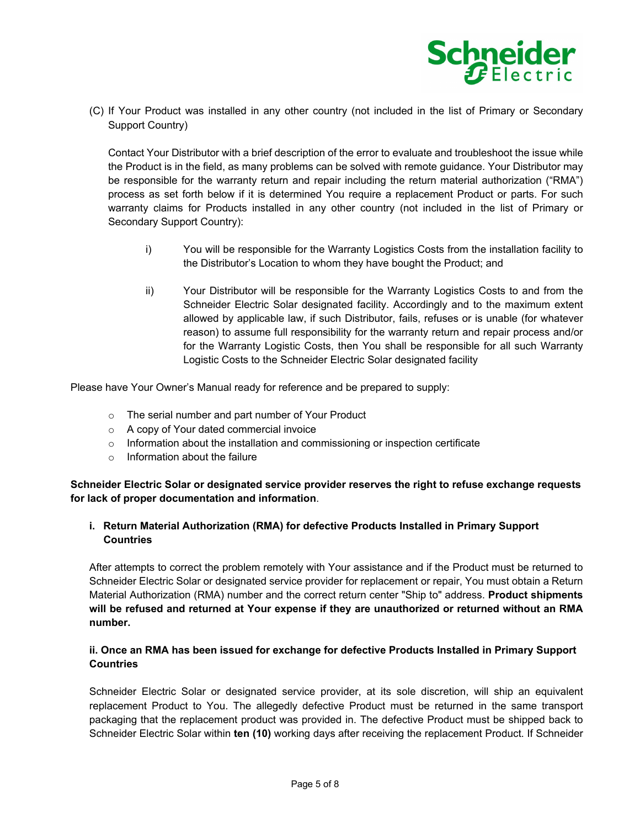

(C) If Your Product was installed in any other country (not included in the list of Primary or Secondary Support Country)

Contact Your Distributor with a brief description of the error to evaluate and troubleshoot the issue while the Product is in the field, as many problems can be solved with remote guidance. Your Distributor may be responsible for the warranty return and repair including the return material authorization ("RMA") process as set forth below if it is determined You require a replacement Product or parts. For such warranty claims for Products installed in any other country (not included in the list of Primary or Secondary Support Country):

- i) You will be responsible for the Warranty Logistics Costs from the installation facility to the Distributor's Location to whom they have bought the Product; and
- ii) Your Distributor will be responsible for the Warranty Logistics Costs to and from the Schneider Electric Solar designated facility. Accordingly and to the maximum extent allowed by applicable law, if such Distributor, fails, refuses or is unable (for whatever reason) to assume full responsibility for the warranty return and repair process and/or for the Warranty Logistic Costs, then You shall be responsible for all such Warranty Logistic Costs to the Schneider Electric Solar designated facility

Please have Your Owner's Manual ready for reference and be prepared to supply:

- o The serial number and part number of Your Product
- o A copy of Your dated commercial invoice
- $\circ$  Information about the installation and commissioning or inspection certificate
- $\circ$  Information about the failure

**Schneider Electric Solar or designated service provider reserves the right to refuse exchange requests for lack of proper documentation and information**.

## **i. Return Material Authorization (RMA) for defective Products Installed in Primary Support Countries**

After attempts to correct the problem remotely with Your assistance and if the Product must be returned to Schneider Electric Solar or designated service provider for replacement or repair, You must obtain a Return Material Authorization (RMA) number and the correct return center "Ship to" address. **Product shipments will be refused and returned at Your expense if they are unauthorized or returned without an RMA number.** 

# **ii. Once an RMA has been issued for exchange for defective Products Installed in Primary Support Countries**

Schneider Electric Solar or designated service provider, at its sole discretion, will ship an equivalent replacement Product to You. The allegedly defective Product must be returned in the same transport packaging that the replacement product was provided in. The defective Product must be shipped back to Schneider Electric Solar within **ten (10)** working days after receiving the replacement Product. If Schneider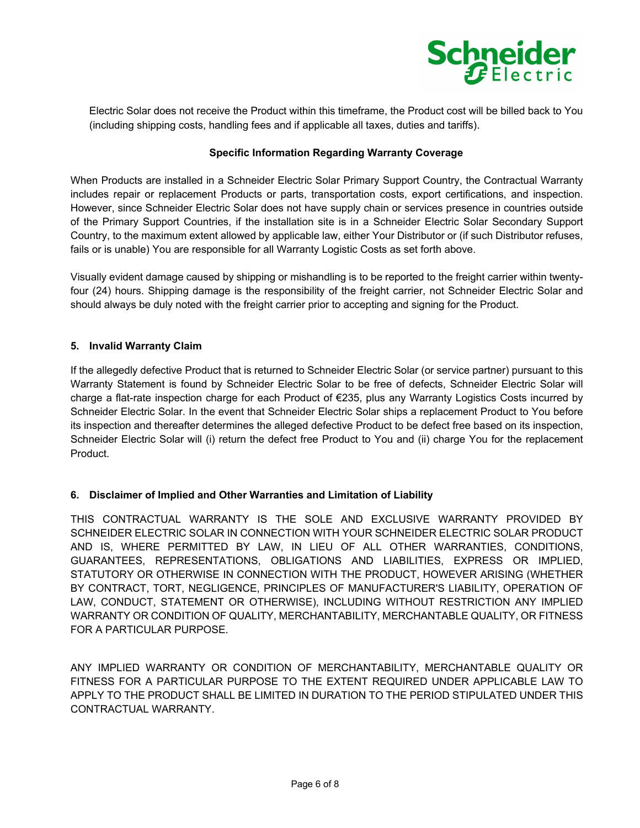

Electric Solar does not receive the Product within this timeframe, the Product cost will be billed back to You (including shipping costs, handling fees and if applicable all taxes, duties and tariffs).

# **Specific Information Regarding Warranty Coverage**

When Products are installed in a Schneider Electric Solar Primary Support Country, the Contractual Warranty includes repair or replacement Products or parts, transportation costs, export certifications, and inspection. However, since Schneider Electric Solar does not have supply chain or services presence in countries outside of the Primary Support Countries, if the installation site is in a Schneider Electric Solar Secondary Support Country, to the maximum extent allowed by applicable law, either Your Distributor or (if such Distributor refuses, fails or is unable) You are responsible for all Warranty Logistic Costs as set forth above.

Visually evident damage caused by shipping or mishandling is to be reported to the freight carrier within twentyfour (24) hours. Shipping damage is the responsibility of the freight carrier, not Schneider Electric Solar and should always be duly noted with the freight carrier prior to accepting and signing for the Product.

## **5. Invalid Warranty Claim**

If the allegedly defective Product that is returned to Schneider Electric Solar (or service partner) pursuant to this Warranty Statement is found by Schneider Electric Solar to be free of defects, Schneider Electric Solar will charge a flat-rate inspection charge for each Product of €235, plus any Warranty Logistics Costs incurred by Schneider Electric Solar. In the event that Schneider Electric Solar ships a replacement Product to You before its inspection and thereafter determines the alleged defective Product to be defect free based on its inspection, Schneider Electric Solar will (i) return the defect free Product to You and (ii) charge You for the replacement Product.

## **6. Disclaimer of Implied and Other Warranties and Limitation of Liability**

THIS CONTRACTUAL WARRANTY IS THE SOLE AND EXCLUSIVE WARRANTY PROVIDED BY SCHNEIDER ELECTRIC SOLAR IN CONNECTION WITH YOUR SCHNEIDER ELECTRIC SOLAR PRODUCT AND IS, WHERE PERMITTED BY LAW, IN LIEU OF ALL OTHER WARRANTIES, CONDITIONS, GUARANTEES, REPRESENTATIONS, OBLIGATIONS AND LIABILITIES, EXPRESS OR IMPLIED, STATUTORY OR OTHERWISE IN CONNECTION WITH THE PRODUCT, HOWEVER ARISING (WHETHER BY CONTRACT, TORT, NEGLIGENCE, PRINCIPLES OF MANUFACTURER'S LIABILITY, OPERATION OF LAW, CONDUCT, STATEMENT OR OTHERWISE), INCLUDING WITHOUT RESTRICTION ANY IMPLIED WARRANTY OR CONDITION OF QUALITY, MERCHANTABILITY, MERCHANTABLE QUALITY, OR FITNESS FOR A PARTICULAR PURPOSE.

ANY IMPLIED WARRANTY OR CONDITION OF MERCHANTABILITY, MERCHANTABLE QUALITY OR FITNESS FOR A PARTICULAR PURPOSE TO THE EXTENT REQUIRED UNDER APPLICABLE LAW TO APPLY TO THE PRODUCT SHALL BE LIMITED IN DURATION TO THE PERIOD STIPULATED UNDER THIS CONTRACTUAL WARRANTY.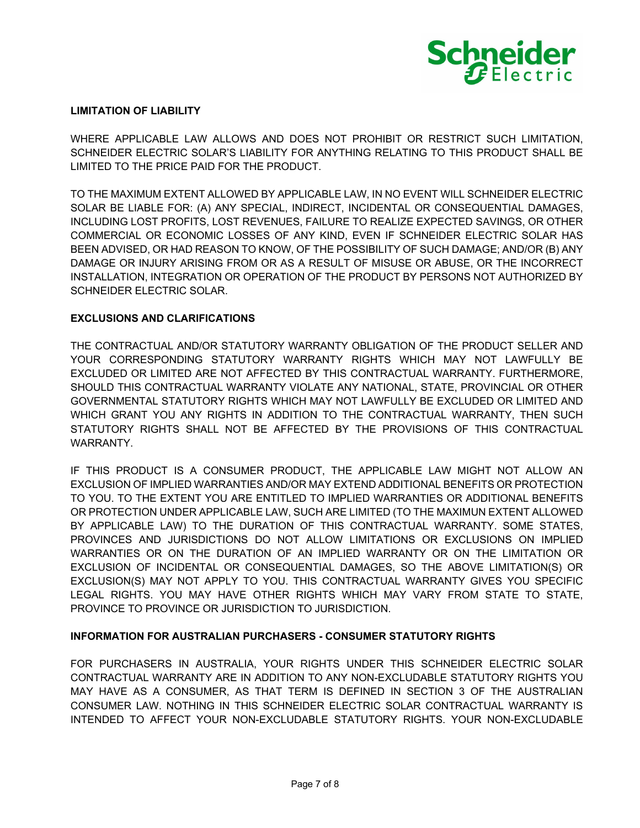

#### **LIMITATION OF LIABILITY**

WHERE APPLICABLE LAW ALLOWS AND DOES NOT PROHIBIT OR RESTRICT SUCH LIMITATION, SCHNEIDER ELECTRIC SOLAR'S LIABILITY FOR ANYTHING RELATING TO THIS PRODUCT SHALL BE LIMITED TO THE PRICE PAID FOR THE PRODUCT.

TO THE MAXIMUM EXTENT ALLOWED BY APPLICABLE LAW, IN NO EVENT WILL SCHNEIDER ELECTRIC SOLAR BE LIABLE FOR: (A) ANY SPECIAL, INDIRECT, INCIDENTAL OR CONSEQUENTIAL DAMAGES, INCLUDING LOST PROFITS, LOST REVENUES, FAILURE TO REALIZE EXPECTED SAVINGS, OR OTHER COMMERCIAL OR ECONOMIC LOSSES OF ANY KIND, EVEN IF SCHNEIDER ELECTRIC SOLAR HAS BEEN ADVISED, OR HAD REASON TO KNOW, OF THE POSSIBILITY OF SUCH DAMAGE; AND/OR (B) ANY DAMAGE OR INJURY ARISING FROM OR AS A RESULT OF MISUSE OR ABUSE, OR THE INCORRECT INSTALLATION, INTEGRATION OR OPERATION OF THE PRODUCT BY PERSONS NOT AUTHORIZED BY SCHNEIDER ELECTRIC SOLAR.

### **EXCLUSIONS AND CLARIFICATIONS**

THE CONTRACTUAL AND/OR STATUTORY WARRANTY OBLIGATION OF THE PRODUCT SELLER AND YOUR CORRESPONDING STATUTORY WARRANTY RIGHTS WHICH MAY NOT LAWFULLY BE EXCLUDED OR LIMITED ARE NOT AFFECTED BY THIS CONTRACTUAL WARRANTY. FURTHERMORE, SHOULD THIS CONTRACTUAL WARRANTY VIOLATE ANY NATIONAL, STATE, PROVINCIAL OR OTHER GOVERNMENTAL STATUTORY RIGHTS WHICH MAY NOT LAWFULLY BE EXCLUDED OR LIMITED AND WHICH GRANT YOU ANY RIGHTS IN ADDITION TO THE CONTRACTUAL WARRANTY, THEN SUCH STATUTORY RIGHTS SHALL NOT BE AFFECTED BY THE PROVISIONS OF THIS CONTRACTUAL WARRANTY.

IF THIS PRODUCT IS A CONSUMER PRODUCT, THE APPLICABLE LAW MIGHT NOT ALLOW AN EXCLUSION OF IMPLIED WARRANTIES AND/OR MAY EXTEND ADDITIONAL BENEFITS OR PROTECTION TO YOU. TO THE EXTENT YOU ARE ENTITLED TO IMPLIED WARRANTIES OR ADDITIONAL BENEFITS OR PROTECTION UNDER APPLICABLE LAW, SUCH ARE LIMITED (TO THE MAXIMUN EXTENT ALLOWED BY APPLICABLE LAW) TO THE DURATION OF THIS CONTRACTUAL WARRANTY. SOME STATES, PROVINCES AND JURISDICTIONS DO NOT ALLOW LIMITATIONS OR EXCLUSIONS ON IMPLIED WARRANTIES OR ON THE DURATION OF AN IMPLIED WARRANTY OR ON THE LIMITATION OR EXCLUSION OF INCIDENTAL OR CONSEQUENTIAL DAMAGES, SO THE ABOVE LIMITATION(S) OR EXCLUSION(S) MAY NOT APPLY TO YOU. THIS CONTRACTUAL WARRANTY GIVES YOU SPECIFIC LEGAL RIGHTS. YOU MAY HAVE OTHER RIGHTS WHICH MAY VARY FROM STATE TO STATE, PROVINCE TO PROVINCE OR JURISDICTION TO JURISDICTION.

## **INFORMATION FOR AUSTRALIAN PURCHASERS - CONSUMER STATUTORY RIGHTS**

FOR PURCHASERS IN AUSTRALIA, YOUR RIGHTS UNDER THIS SCHNEIDER ELECTRIC SOLAR CONTRACTUAL WARRANTY ARE IN ADDITION TO ANY NON-EXCLUDABLE STATUTORY RIGHTS YOU MAY HAVE AS A CONSUMER, AS THAT TERM IS DEFINED IN SECTION 3 OF THE AUSTRALIAN CONSUMER LAW. NOTHING IN THIS SCHNEIDER ELECTRIC SOLAR CONTRACTUAL WARRANTY IS INTENDED TO AFFECT YOUR NON-EXCLUDABLE STATUTORY RIGHTS. YOUR NON-EXCLUDABLE